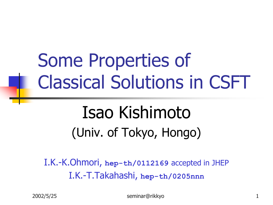# Some Properties of Classical Solutions in CSFT

### Isao Kishimoto (Univ. of Tokyo, Hongo)

I.K.-K.Ohmori, **hep-th/0112169** accepted in JHEP I.K.-T.Takahashi, **hep-th/0205nnn**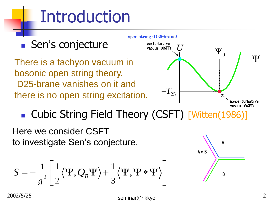# Introduction



**Cubic String Field Theory (CSFT) [Witten(1986)]** 

Here we consider CSFT to investigate Sen's conjecture.

$$
S=-\frac{1}{g^2}\Biggl[\frac{1}{2}\bigl\langle\Psi,Q_{\!B}\Psi\bigr\rangle+\frac{1}{3}\bigl\langle\Psi,\Psi\ast\Psi\bigr\rangle\Biggr]
$$

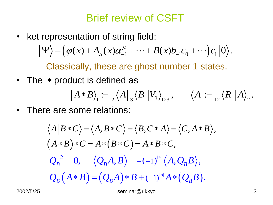Brief review of CSFT

• ket representation of string field: sentation of string field:<br> $(\varphi(x) + A_{\mu}(x)\alpha^{\mu}_{-1} + \cdots + B(x)b_{-1}c_0 + \cdots)c_1|0\rangle.$  $\mu$ representation of string field:<br> $\Psi$ ) =  $(\varphi(x) + A_{\mu}(x)\alpha^{\mu}_{-1} + \cdots + B(x)b_{-1}c_0 + \cdots)c_1|0\rangle$ 

Classically, these are ghost number 1 states.

• The \* product is defined as

$$
\begin{aligned}\n\text{luct is defined as} \\
\left| A * B \right\rangle_1 &:= \frac{1}{2} \left\langle A \right|_3 \left\langle B \right| \left| V_3 \right\rangle_{123}, \quad \left| A \right| := \frac{1}{12} \left\langle R \right| \left| A \right\rangle_{2}.\n\end{aligned}
$$

• There are some relations:

e are some relations:  
\n
$$
\langle A|B*C \rangle = \langle A, B*C \rangle = \langle B, C*A \rangle = \langle C, A*B \rangle,
$$
\n
$$
(A*B)*C = A*(B*C) = A*B*C,
$$
\n
$$
Q_B^2 = 0, \quad \langle Q_B A, B \rangle = -(-1)^{|A|} \langle A, Q_B B \rangle,
$$
\n
$$
Q_B (A*B) = (Q_B A)*B + (-1)^{|A|} A*(Q_B B).
$$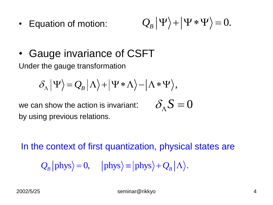• Equation of motion:

$$
Q_{B}|\Psi\rangle+|\Psi*\Psi\rangle=0.
$$

• Gauge invariance of CSFT Under the gauge transformation

$$
\delta_{\Lambda} |\Psi\rangle = Q_B |\Lambda\rangle + |\Psi * \Lambda\rangle - |\Lambda * \Psi\rangle,
$$

we can show the action is invariant: by using previous relations.

$$
\delta_{\Lambda} S = 0
$$

In the context of first quantization, physical states are  $Q_B$  | phys  $\rangle = 0$ , | phys  $\rangle =$  | phys  $\rangle + Q_B |\Lambda\rangle$ .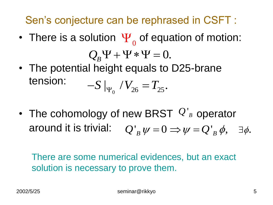Sen's conjecture can be rephrased in CSFT :

- There is a solution  $\Psi_{0}$  of equation of motion:  $Q_{B}\Psi + \Psi * \Psi = 0.$
- The potential height equals to D25-brane tension:  $-S \mid_{\Psi_0} / V_{26} = T_{25}.$
- The cohomology of new BRST  $Q'_B$  operator around it is trivial:  $Q'_B \psi = 0 \Rightarrow \psi = Q'_B \phi, \quad \exists \phi.$

There are some numerical evidences, but an exact solution is necessary to prove them.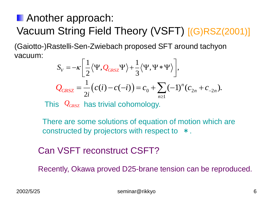### **Another approach:** Vacuum String Field Theory (VSFT) [(G)RSZ(2001)]

 $\frac{1}{2}\langle \Psi Q_{\rm max}\Psi \rangle + \frac{1}{2}$ (Gaiotto-)Rastelli-Sen-Zwiebach proposed SFT around tachyon vacuum:

$$
S_V = -\kappa \left[ \frac{1}{2} \langle \Psi, Q_{GRSZ} \Psi \rangle + \frac{1}{3} \langle \Psi, \Psi * \Psi \rangle \right],
$$
  

$$
Q_{GRSZ} = \frac{1}{2i} \left( c(i) - c(-i) \right) = c_0 + \sum_{n \ge 1} (-1)^n (c_{2n} + c_{-2n}).
$$

This  $Q_{GRSZ}$  has trivial cohomology.

There are some solutions of equation of motion which are constructed by projectors with respect to  $*$ .

#### Can VSFT reconstruct CSFT?

Recently, Okawa proved D25-brane tension can be reproduced.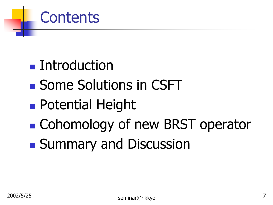### **Contents**

- Introduction
- Some Solutions in CSFT
- **Potential Height**
- **E** Cohomology of new BRST operator
- **Summary and Discussion**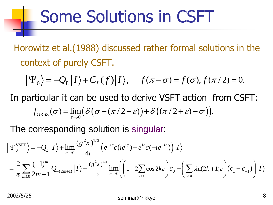### Some Solutions in CSFT

Horowitz et al.(1988) discussed rather formal solutions in the context of purely CSFT.

$$
\Psi_0
$$
 =  $-Q_L|I\rangle + C_L(f)|I\rangle$ ,  $f(\pi - \sigma) = f(\sigma), f(\pi/2) = 0$ .

In particular it can be used to derive VSFT action from CSFT:  $\langle \mathcal{F}_0 \rangle = -Q_L |I\rangle + C_L(f)|I\rangle, \quad f(\pi - \sigma) = f(\sigma), f(\pi/2) = 0.$ <br>ticular it can be used to derive VSFT action from CSF<br> $f_{GRSZ}(\sigma) = \lim_{\varepsilon \to 0} (\delta(\sigma - (\pi/2 - \varepsilon)) + \delta((\pi/2 + \varepsilon) - \sigma)).$ 

 $\int_{2}^{2} K)^{1/3}$ The corresponding solution is singular:

$$
f_{GRSZ}(\sigma) = \lim_{\varepsilon \to 0} \left( \frac{\partial (\sigma - (\pi/2 - \varepsilon)) + \partial ((\pi/2 + \varepsilon) - \sigma)}{\partial ((\pi/2 + \varepsilon) - \sigma)} \right).
$$
  
The corresponding solution is singular:  

$$
\Psi_0^{\text{VSET}} = -Q_L |I\rangle + \lim_{\varepsilon \to 0} \frac{(g^2 \kappa)^{1/3}}{4i} \left( e^{-i\varepsilon} c (ie^{i\varepsilon}) - e^{i\varepsilon} c (-ie^{-i\varepsilon}) \right) |I\rangle
$$

$$
= \frac{2}{\pi} \sum_{m \ge 0} \frac{(-1)^m}{2m+1} Q_{-(2m+1)} |I\rangle + \frac{(g^2 \kappa)^{1/3}}{2} \lim_{\varepsilon \to 0} \left( \left( 1 + 2 \sum_{k \ge 0} \cos 2k\varepsilon \right) c_0 - \left( \sum_{k \ge 0} \sin(2k+1)\varepsilon \right) (c_1 - c_{-1}) \right) |I\rangle
$$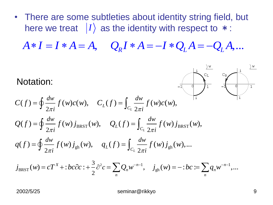• There are some subtleties about identity string field, but here we treat  $|I\rangle$  as the identity with respect to  $*$ : There are some subdenes about identity string field, but<br>here we treat  $|I\rangle$  as the identity with respect to  $*$ :<br> $A * I = I * A = A$ ,  $Q_R I * A = -I * Q_L A = -Q_L A$ ,...

Notation:

Notation:  
\n
$$
C(f) = \oint \frac{dw}{2\pi i} f(w)c(w), \quad C_L(f) = \int_{C_L} \frac{dw}{2\pi i} f(w)c(w),
$$
\n
$$
Q(f) = \oint \frac{dw}{2\pi i} f(w) j_{BRST}(w), \quad Q_L(f) = \int_{C_L} \frac{dw}{2\pi i} f(w) j_{BRST}(w),
$$
\n
$$
q(f) = \oint \frac{dw}{2\pi i} f(w) j_{gh}(w), \quad q_L(f) = \int_{C_L} \frac{dw}{2\pi i} f(w) j_{gh}(w),...
$$
\n
$$
j_{BRST}(w) = cT^X + :bc\partial c : + \frac{3}{2}\partial^2 c = \sum_n Q_n w^{-n-1}, \quad j_{gh}(w) = -:bc := \sum_n q_n w^{-n-1},...
$$

$$
j_{\text{BRST}}(w) = cT^X + :bc\partial c : + \frac{3}{2}\partial^2 c = \sum_n Q_n w^{-n-1}, \quad j_{gh}(w) = -:bc := \sum_n q_n w^{-n-1},...
$$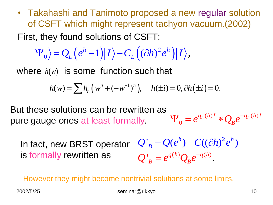• Takahashi and Tanimoto proposed a new regular solution of CSFT which might represent tachyon vacuum.(2002)

First, they found solutions of CSFT:  
\n
$$
|\Psi_0\rangle = Q_L (e^h - 1) |I\rangle - C_L ((\partial h)^2 e^h) |I\rangle,
$$

where 
$$
h(w)
$$
 is some function such that  
\n
$$
h(w) = \sum h_n \left( w^n + (-w^{-1})^n \right), \quad h(\pm i) = 0, \partial h(\pm i) = 0.
$$

 $(h)I \cdot \Omega$   $a^{-q_L(h)}$ 0  $q_L(h)I \ast Q e^{-q_L(h)I}$  $\Psi_0 = e^{q_L(h)I} * Q_B e^{-I}$ But these solutions can be rewritten as pure gauge ones at least formally.

2  $Q'_{B} = Q(e^{h}) - C((\partial h)^{2} e^{h})$  $\int_{a}^{b}$   $\frac{q(h)}{h}$   $\frac{q(h)}{h}$  $Q'_B = e^{q(h)} Q_B e^{-q(h)}.$ In fact, new BRST operator is formally rewritten as

However they might become nontrivial solutions at some limits.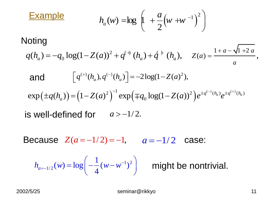**Example** 
$$
h_a(w) = \log \left(1 + \frac{a}{2} (w + w^{-1})^2\right)
$$

#### Noting

$$
\begin{array}{ccc}\n & (2 & \cdot & ) \\
\text{Using} & & \\
q(h_a) = -q_0 \log(1 - Z(a))^2 + q^{(+)}(h_a) + q^{(+)}(h_a), & Z(a) = \frac{1 + a - \sqrt{1 + 2a}}{a},\n\end{array}
$$

$$
h_a(w) = \log \left[ 1 + \frac{1}{2} (w + w^{-1}) \right]
$$
  
Noting  

$$
q(h_a) = -q_0 \log(1 - Z(a))^2 + q^{(+)} (h_a) + q^{(+)} (h_a), \quad Z(a) = \frac{1 + a - \sqrt{1 + 2a}}{a}
$$
  
and 
$$
\left[ q^{(+)} (h_a), q^{(-)} (h_a) \right] = -2 \log(1 - Z(a)^2),
$$

$$
\exp(\pm q(h_a)) = (1 - Z(a)^2)^{-1} \exp(\mp q_0 \log(1 - Z(a))^2) e^{\pm q^{(-)} (h_a)} e^{\pm q^{(+)} (h_a)}
$$
  
is well-defined for  $a > -1/2$ .  
Because  $Z(a = -1/2) = -1, \quad a = -1/2$  case:  

$$
h_{a=-1/2}(w) = \log \left( -\frac{1}{4} (w - w^{-1})^2 \right) \text{ might be nontrivial.}
$$

is well-defined for  $a > -1/2$ .

Because  $Z(a=-1/2) = -1$ ,  $a = -1/2$  case:

$$
h_{a=-1/2}(w) = \log\left(-\frac{1}{4}(w-w^{-1})^2\right)
$$

might be nontrivial.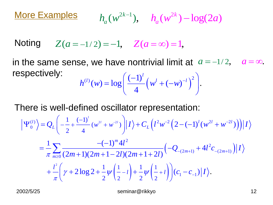More Examples  $(w^{2k-1}),$  $h_a(w^{2k-1}), \quad h_a(w^{2k}) - \log(2a)$ 

 $Z(a = -1/2) = -1$ ,  $Z(a = \infty) = 1$ , **Noting** 

2  $(v, w) = log\left(\frac{(-1)^l}{4}\left(w^l + (-w)\right)\right)$ . *l*  $h^{(l)}(w) = \log \left( \frac{(-1)^l}{4} \left( w^l + (-w)^{-l} \right) \right)$  $\left(\frac{(-1)^l}{l!} \left(\frac{1}{l!} \frac{1}{l!} \left(\frac{1}{l!} \right)^{l} \right)^2\right)^2$ in the same sense, we have nontrivial limit at  $a = -1/2$ ,  $a = \infty$ . respectively:

$$
h^{(l)}(w) = \log\left(\frac{(-1)^l}{4} \left(w^l + (-w)^{-l}\right)^2\right).
$$

There is well-defined oscillator representation:

here is well-defined oscillator representation:  
\n
$$
\left|\Psi_0^{(l)}\right\rangle = Q_L \left(-\frac{1}{2} + \frac{(-1)^l}{4}(w^{2l} + w^{2l})\right) |I\rangle + C_L \left(l^2 w^{-2} \left(2 - (-1)^l (w^{2l} + w^{-2l})\right)\right) |I\rangle
$$
\n
$$
= \frac{1}{\pi} \sum_{m \ge 0} \frac{-(-1)^m 4l^2}{(2m+1)(2m+1-2l)(2m+1+2l)} \left(-Q_{-(2m+1)} + 4l^2 c_{-(2m+1)}\right) |I\rangle
$$
\n
$$
+ \frac{l^2}{\pi} \left(\gamma + 2\log 2 + \frac{1}{2}\psi\left(\frac{1}{2} - l\right) + \frac{1}{2}\psi\left(\frac{1}{2} + l\right)\right) (c_1 - c_{-1}) |I\rangle.
$$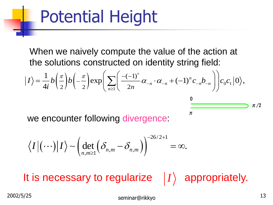# Potential Height

When we naively compute the value of the action at<br>the solutions constructed on identity string field:<br> $\langle \sigma \rangle = \frac{1}{\sigma} b \left( \frac{\pi}{2} \right) b \left( -\frac{\pi}{2} \right) \exp \left[ \sum \left( \frac{-(-1)^n}{2} \alpha_{-n} \cdot \alpha_{-n} + (-1)^n c_{-n} b_{-n} \right) \right] c_0 c_1 |0\rangle,$ the solutions constructed on identity string field:

When we have the solutions constructed on identity string field:

\n
$$
|I\rangle = \frac{1}{4i}b\left(\frac{\pi}{2}\right)b\left(-\frac{\pi}{2}\right)\exp\left(\sum_{n\geq 1}\left(\frac{-(-1)^n}{2n}\alpha_{-n}\cdot\alpha_{-n}+(-1)^n c_{-n}b_{-n}\right)\right)c_0c_1|0\rangle,
$$

 $\pi$ 

we encounter following divergence:

$$
\langle I | (\cdots) | I \rangle \sim \left( \det_{n,m \geq 1} \left( \delta_{n,m} - \delta_{n,m} \right) \right)^{-26/2+1} = \infty.
$$

It is necessary to regularize  $|I\rangle$  appropriately.  $|I\rangle$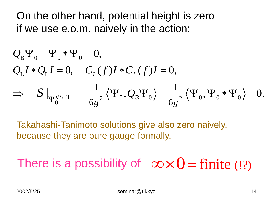On the other hand, potential height is zero

if we use e.o.m. naively in the action:  
\n
$$
Q_B \Psi_0 + \Psi_0 * \Psi_0 = 0
$$
,  
\n $Q_L I * Q_L I = 0$ ,  $C_L(f)I * C_L(f)I = 0$ ,  
\n $\Rightarrow S|_{\Psi_0^{\text{VSFT}}} = -\frac{1}{6g^2} \langle \Psi_0, Q_B \Psi_0 \rangle = \frac{1}{6g^2} \langle \Psi_0, \Psi_0 * \Psi_0 \rangle = 0$ .

Takahashi-Tanimoto solutions give also zero naively, because they are pure gauge formally.

There is a possibility of  $\infty \times 0 = \text{finite}$ (!?)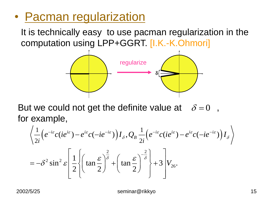### • Pacman regularization

It is technically easy to use pacman regularization in the computation using LPP+GGRT. [I.K.-K.Ohmori]



But we could not get the definite value at  $\delta = 0$ , for example, we codid not get the definition<br>xample,<br> $\frac{1}{2} \left( e^{-i\varepsilon} c (ie^{i\varepsilon}) - e^{i\varepsilon} c (-ie^{-i\varepsilon}) \right) I_s, Q_p \stackrel{1}{\rightarrow}$  $\delta = 0$ 

example,  
\n
$$
\left\langle \frac{1}{2i} \left( e^{-i\varepsilon} c (ie^{i\varepsilon}) - e^{i\varepsilon} c (-ie^{-i\varepsilon}) \right) I_{\delta}, Q_{B} \frac{1}{2i} \left( e^{-i\varepsilon} c (ie^{i\varepsilon}) - e^{i\varepsilon} c (-ie^{-i\varepsilon}) \right) I_{\delta} \right\rangle
$$
\n
$$
= -\delta^{2} \sin^{2} \varepsilon \left[ \frac{1}{2} \left\{ \left( \tan \frac{\varepsilon}{2} \right)^{\frac{2}{\delta}} + \left( \tan \frac{\varepsilon}{2} \right)^{-\frac{2}{\delta}} \right\} + 3 \right] V_{26}.
$$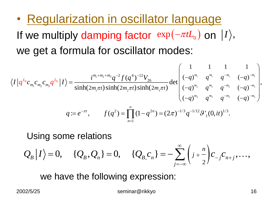• Regularization in oscillator language If we multiply damping factor  $exp(-\pi tL_0)$  on  $|I\rangle$ ,  $\begin{array}{ccc} 0 \end{array}$ <br>
1 1 1 1<br>  $\begin{array}{ccc} 1 & 1 & 1 \\ \end{array}$ 

It we multiply **odr** polynomial for oscillator modes:

\n
$$
\langle I|q^{L_0}c_{m_1}c_{m_2}c_{m_3}q^{L_0}|I\rangle = \frac{i^{m_1+m_2+m_3}q^{-2}f(q^4)^{-12}V_{26}}{\sinh(2m_1\pi t)\sinh(2m_2\pi t)\sinh(2m_3\pi t)}\det\begin{pmatrix} 1 & 1 & 1 & 1 \\ (-q)^{m_1} & q^{m_1} & q^{-m_1} & (-q)^{-m_1} \\ (-q)^{m_2} & q^{m_2} & q^{-m_2} & (-q)^{-m_2} \\ (-q)^{m_3} & q^{m_3} & q^{-m_3} & (-q)^{-m_3} \end{pmatrix},
$$
\n
$$
q := e^{-\pi t}, \qquad f(q^2) = \prod_{n=1}^{\infty} (1-q^{2n}) = (2\pi)^{-1/3}q^{-1/12}\mathcal{G}'_1(0, it)^{1/3}.
$$

Using some relations

Using some relations  
\n
$$
Q_B|I\rangle = 0
$$
,  $\{Q_B, Q_n\} = 0$ ,  $\{Q_{B,C_n}\} = -\sum_{j=-\infty}^{\infty} \left(\frac{j}{2} + \frac{n}{2}\right) C_{-j} C_{n+j}$ ,...,

we have the following expression: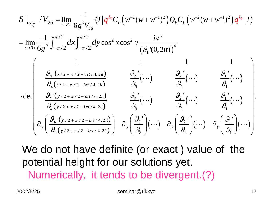$$
S \Big|_{\Psi_{0}^{(1)}} / V_{26} = \lim_{t \to 0+} \frac{-1}{6g^{2}V_{26}} \langle I | q^{L_{0}}C_{L} (w^{-2}(w+w^{-1})^{2}) Q_{B} C_{L} (w^{-2}(w+w^{-1})^{2}) q^{L_{0}} | I \rangle
$$
  
\n
$$
= \lim_{t \to 0+} \frac{-1}{6g^{2}} \int_{-\pi/2}^{\pi/2} dx \int_{-\pi/2}^{\pi/2} dy \cos^{2} x \cos^{2} y \frac{i\pi^{2}}{(g_{1} (0, 2it))^{4}}
$$
  
\n
$$
\cdot \det \begin{pmatrix} 1 & 1 & 1 & 1 \ \frac{g_{4} (x/2 + \pi/2 - i\pi t/4, 2it)}{g_{4}(x/2 + \pi/2 - i\pi t/4, 2it)} & \frac{g_{3}^{2}}{g_{3}} (\cdots) & \frac{g_{2}^{2}}{g_{2}} (\cdots) & \frac{g_{1}^{2}}{g_{1}} (\cdots) \ \frac{g_{4} (y/2 + \pi/2 - i\pi t/4, 2it)}{g_{4}(y/2 + \pi/2 - i\pi t/4, 2it)} & \frac{g_{3}^{2}}{g_{3}} (\cdots) & \frac{g_{2}^{2}}{g_{2}} (\cdots) & \frac{g_{1}^{2}}{g_{1}} (\cdots) \ \frac{g_{1}^{2}}{g_{1}} (\cdots) & \frac{g_{1}^{2}}{g_{1}} (\cdots) \ \frac{g_{4} (y/2 + \pi/2 - i\pi t/4, 2it)}{g_{4}(y/2 + \pi/2 - i\pi t/4, 2it)} & \frac{g_{3}^{2}}{g_{3}} (\cdots) & \frac{g_{2}^{2}}{g_{2}} (\cdots) & \frac{g_{1}^{2}}{g_{2}} (\cdots) \ \frac{g_{1}}{g_{1}} (\cdots) & \frac{g_{1}}{g_{1}} (\cdots) \end{pmatrix}.
$$

We do not have definite (or exact ) value of the potential height for our solutions yet. Numerically, it tends to be divergent.(?)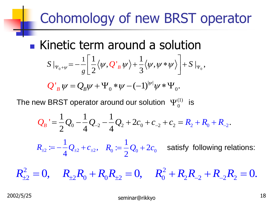### Cohomology of new BRST operator

**Kinetic term around a solution** netic term around a solution<br>  $\begin{aligned} \log\left|\frac{1}{2}\langle \psi, Q_{B}^{*}\psi\rangle+\frac{1}{2}\langle \psi, \psi*\psi\rangle\right| &+S\left|_{\Psi_{0}},\psi*\psi\right| \end{aligned}$  $\frac{1}{2}\langle \psi, Q^{\dagger}_{B}\psi \rangle + \frac{1}{3}$ Ineuc term around a solution<br> *s*  $|_{\Psi_0 + \psi} = -\frac{1}{g} \left[ \frac{1}{2} \langle \psi, Q_B^T \psi \rangle + \frac{1}{3} \langle \psi, \psi * \psi \rangle \right] + S |_{\Psi_0},$  $\Gamma$ m around a solution<br> $\left[\frac{1}{2}\langle \psi, Q^{\dagger}, \psi \rangle + \frac{1}{2}\langle \psi, \psi * \psi \rangle \right] + S\left|_{\psi} \right|,$ IC LEITH dround a Solution<br>= $-\frac{1}{g}\left[\frac{1}{2}\langle\psi,\mathcal{Q'}_B\psi\rangle+\frac{1}{3}\langle\psi,\psi*\psi\rangle\right]+S|_{\Psi_0},$ 

 $|\psi|$  $\int_B \psi = Q_B \psi + \Psi_0 * \psi - (-1)^{|\psi|} \psi * \Psi_0$  $g \lfloor 2 \rfloor$  3<br>  $Q'_{B} \psi = Q_{B} \psi + \Psi_{0} * \psi - (-1)^{|\psi|} \psi * \Psi_{0}.$  $g \lfloor 2 \cdot 3 \cdot 3 \cdot 4 \rfloor$ <br> $\psi = Q_B \psi + \Psi_0 * \psi - (-1)^{|\psi|} \psi * \Psi_0.$ 

The new BRST operator around our solution 
$$
\Psi_0^{(1)}
$$
 is  
\n
$$
Q_B' = \frac{1}{2}Q_0 - \frac{1}{4}Q_{-2} - \frac{1}{4}Q_2 + 2c_0 + c_{-2} + c_2 = R_2 + R_0 + R_{-2}.
$$

 $\sum_{2}$   $=$   $\sum_{\pm 2}$  +  $c_{\pm 2}$  $:= -\frac{1}{4}Q_{12} + c_{12},$ 4  $R_{\pm 2} := -\frac{1}{4} Q_{\pm 2} + c_{\pm 2}, \quad R_0 := \frac{1}{2} Q_0 + 2c_0$  $:=\frac{1}{2}Q_0+2$ 2  $R_0 := \frac{1}{2}Q_0 + 2c_0$  satisfy following relations:  $R_{\pm 2} = -\frac{1}{4} Q_{\pm 2} + c_{\pm 2}, \quad R_0 = \frac{1}{2} Q_0 + 2c_0$  satisfy following relations:<br>  $R_{\pm 2}^2 = 0, \quad R_{\pm 2} R_0 + R_0 R_{\pm 2} = 0, \quad R_0^2 + R_2 R_{-2} + R_{-2} R_2 = 0.$ 

 $R_{+2}^2 = 0$ ,  $R_{+2}R_0 + R_0R_{+2} = 0$ ,  $R_0^2 + R_2R_2 + R_3R_3 = 0$ .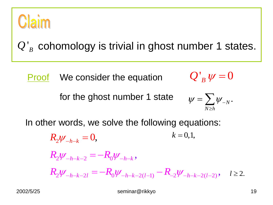

' $Q'_B$  cohomology is trivial in ghost number 1 states.

 $Q'_{B} \psi = 0$ **Proof** We consider the equation

for the ghost number 1 state

$$
\psi = \sum_{N \ge h} \psi_{-N}.
$$

In other words, we solve the following equations:

 $R_2 \psi_{-h-k} = 0,$  $R_2 \psi_{-h-k-2} = -R_0 \psi_{-h-k}$  $R_2 \psi_{-h-k} = 0,$ <br>  $R_2 \psi_{-h-k-2} = -R_0 \psi_{-h-k},$ <br>  $R_2 \psi_{-h-k-2l} = -R_0 \psi_{-h-k-2(l-1)} - R_{-2} \psi_{-h-k-2(l-2)},$   $l \ge 2.$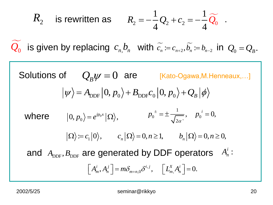$$
R_2
$$
 is rewritten as  $R_2 = -\frac{1}{4}Q_2 + c_2 = -\frac{1}{4}\widetilde{Q}_0$ .

 $\widetilde{c_n} := c_{n+2}, \widetilde{b_n} := b_{n-2}$  $\widetilde{Q_0}$  is given by replacing  $c_n b_n$  with  $\widetilde{c_n} = c_{n+2}, \widetilde{b_n} = b_{n-2}$  in  $Q_0 = Q_B$ .

$$
R_{2} \quad \text{is rewritten as} \quad R_{2} = -\frac{1}{4}Q_{2} + c_{2} = -\frac{1}{4}\widetilde{Q_{0}}.
$$
\n
$$
\sum_{0} \quad \text{is given by replacing } c_{n}, b_{n} \quad \text{with } \widetilde{c_{n}} = c_{n+2}, \widetilde{b_{n}} = b_{n-2} \quad \text{in } Q_{0} = Q_{B}.
$$
\n
$$
\text{Solutions of} \quad Q_{B}\psi = 0 \quad \text{are} \quad [\text{Kato-Ogawa}, \text{M.Henneaux}, \ldots]
$$
\n
$$
|\psi\rangle = A_{\text{DEF}} |0, p_{0}\rangle + B_{\text{DEF}} c_{0} |0, p_{0}\rangle + Q_{B} |\phi\rangle
$$
\n
$$
\text{where} \quad |0, p_{0}\rangle = e^{ip_{0}x} |\Omega\rangle, \qquad p_{0}^{\pm} = \pm \frac{1}{\sqrt{2\alpha}}, \quad p_{0}^{\pm} = 0,
$$
\n
$$
|\Omega\rangle := c_{1} |0\rangle, \qquad c_{n} |\Omega\rangle = 0, n \ge 1, \qquad b_{n} |\Omega\rangle = 0, n \ge 0,
$$
\n
$$
\text{and } A_{\text{DEF}}, B_{\text{DEF}} \text{ are generated by DDF operators } A_{n}^{\pm} :
$$
\n
$$
[A_{m}^{\prime}, A_{n}^{\prime}] = m\delta_{m+n,0}\delta^{\prime,j}, \quad [L_{m}^{X}, A_{n}^{\prime}] = 0.
$$
\n
$$
\text{2002/5/25} \quad \text{seminar@rikkyo} \qquad \text{20}
$$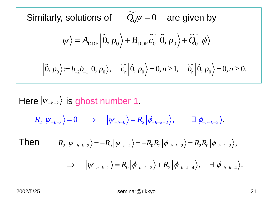Similarly, solutions of  $\widetilde{Q_0}\psi=0$  are given by  $Q_0 \psi = 0$  $\widetilde{c}$   $|\widetilde{0}, n_{\circ}\rangle + \widetilde{O_{\circ}}$  $\langle \psi \rangle = A_{\text{DDF}} \left| \tilde{0}, p_0 \right\rangle + B_{\text{DDF}} \widetilde{c_0} \left| \tilde{0}, p_0 \right\rangle + \widetilde{Q_0} \left| \phi \right\rangle.$  $\widetilde{C}$ |0, n = 0, n > 1, \text{ \omega\sigma\_{\omega\sigma\_{\omega\_{\omega\_{\omega\_{\omega\_{\omega\_{\omega\_{\omega\_{\omega\_{\omega\_{\omega\_{\omega\_{\omega\_{\omega\_{\omega\_{\omega\_{\omega\_{\omega\_{\omega\_{\omega\_{\omega\_  $|\psi\rangle = A_{\text{DDF}} |0, p_0\rangle + B_{\text{DDF}} c_0 |0, p_0\rangle + Q_0 |\psi\rangle$ <br>  $|\tilde{0}, p_0\rangle = b_{-2}b_{-1} |0, p_0\rangle, \quad \tilde{c}_n |\tilde{0}, p_0\rangle = 0, n \ge 1, \quad \tilde{b}_n |\tilde{0}, p_0\rangle = 0, n \ge 0.$ 

Here  $|\psi_{-h-k}\rangle$  is ghost number 1,  $R_2 |\psi_{-h-k}\rangle = 0 \Rightarrow |\psi_{-h-k}\rangle = R_2 |\phi_{-h-k-2}\rangle, \qquad \exists |\phi_{-h-k-2}\rangle.$  $\begin{array}{lll} \displaystyle{R_2\left|\psi_{-h-k-2}\right\rangle=-R_0\left|\psi_{-h-k}\right\rangle=-R_0R_2\left|\phi_{-h-k-2}\right\rangle=R_2R_0\left|\phi_{-h-k-2}\right\rangle}, \end{array}$  $\begin{split} \big|\psi_{-h-k-2}\big\rangle & = - R_0 \big|\psi_{-h-k}\big\rangle = - R_0 R_2 \big|\phi_{-h-k-2}\big\rangle = R_2 R_0 \big|\phi_{-h-k-2}\big\rangle, \[1mm] \Rightarrow \quad \big|\psi_{-h-k-2}\big\rangle & = R_0 \big|\phi_{-h-k-2}\big\rangle + R_2 \big|\phi_{-h-k-4}\big\rangle, \quad \exists \big|\phi_{-h-k-4}\big\rangle. \end{split}$ Then

$$
\Rightarrow \quad |\psi_{-h-k-2}\rangle = R_0 |\phi_{-h-k-2}\rangle + R_2 |\phi_{-h-k-4}\rangle, \quad \exists |\phi_{-h-k-4}\rangle.
$$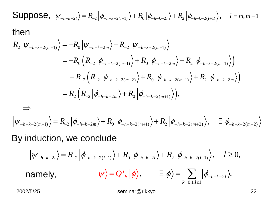Suppose, 
$$
|\psi_{-h-k-2l}\rangle = R_{-2} |\phi_{-h-k-2(l-1)}\rangle + R_0 |\phi_{-h-k-2l}\rangle + R_2 |\phi_{-h-k-2(l+1)}\rangle
$$
,  $l = m, m-1$   
\nthen  
\n
$$
R_2 |\psi_{-h-k-2(m+1)}\rangle = -R_0 |\psi_{-h-k-2m}\rangle - R_{-2} |\psi_{-h-k-2(m-1)}\rangle
$$
\n
$$
= -R_0 (R_{-2} |\phi_{-h-k-2(m-1)}\rangle + R_0 |\phi_{-h-k-2m}\rangle + R_2 |\phi_{-h-k-2(m+1)}\rangle)
$$
\n
$$
- R_{-2} (R_{-2} |\phi_{-h-k-2(m-2)}\rangle + R_0 |\phi_{-h-k-2(m-1)}\rangle + R_2 |\phi_{-h-k-2m}\rangle)
$$
\n
$$
= R_2 (R_{-2} |\phi_{-h-k-2m}\rangle + R_0 |\phi_{-h-k-2(m+1)}\rangle),
$$
\n
$$
\Rightarrow
$$
\n
$$
|\psi_{-h-k-2(m+1)}\rangle = R_{-2} |\phi_{-h-k-2m}\rangle + R_0 |\phi_{-h-k-2(m+1)}\rangle + R_2 |\phi_{-h-k-2(m+2)}\rangle, \quad \exists |\phi_{-h-k-2(m+2)}\rangle
$$
\nBy induction, we conclude

 $|\psi_{-h-k-2l}\rangle = R_{-2} |\phi_{-h-k-2(l-1)}\rangle + R_0 |\phi_{-h-k-2l}\rangle + R_2 |\phi_{-h-k-2(l+1)}\rangle, \quad l \ge 0,$  $\langle B | \phi \rangle, \qquad \exists |\phi\rangle = \sum_{k=0,1,l\geq 1} |\phi_{-h-k-2}|$  $\exists |\phi\rangle = \sum_{h-k-2l} |\phi_{-h-k-2l}\rangle.$  $\sum_{k=0,1,l}$  $\langle \Psi \rangle = Q'_{B} |\phi\rangle, \qquad \exists |\phi\rangle = \sum |\phi_{-h-k-2l}\rangle.$  $\sum_{=0,1,l\geq 1}|\varphi_{-}% |+\rangle\langle\varphi_{-}|+\rangle$  namely,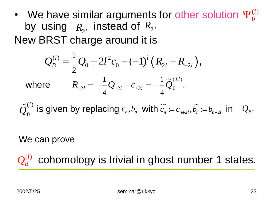• We have similar arguments for other solution  $\Psi_0^{(l)}$ by using  $R_{2l}$  instead of  $R_2$ . New BRST charge around it is 0  $\Psi^{(l)}_0$ 

$$
Q_B^{(l)} = \frac{1}{2}Q_0 + 2l^2c_0 - (-1)^l(R_{2l} + R_{-2l}),
$$
  
where 
$$
R_{\pm 2l} = -\frac{1}{4}Q_{\pm 2l} + c_{\pm 2l} = -\frac{1}{4}\widetilde{Q}_0^{(\pm l)}.
$$

 $\widetilde{O}^{(l)}$ 0  $\widetilde{Q}_0^{(l)}$  is given by replacing  $c_n$ ,  $b_n$  with  $\widetilde{c_n} := c_{n+2l}$ ,  $\widetilde{b_n} := b_{n-2l}$  in  $Q_B$ .

#### We can prove

 $Q_B^{(l)}$  cohomology is trivial in ghost number 1 states.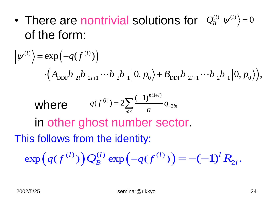• There are nontrivial solutions for  $\left| {\mathcal Q}_B^{(l)} \middle| \psi^{(l)} \right\rangle = 0$ of the form:

of the form:  
\n
$$
|\psi^{(l)}\rangle = \exp(-q(f^{(l)}))
$$
\n
$$
\cdot (A_{\text{DDF}}b_{-2l}b_{-2l+1}\cdots b_{-2}b_{-1}|0, p_0\rangle + B_{\text{DDF}}b_{-2l+1}\cdots b_{-2}b_{-1}|0, p_0\rangle),
$$
\nwhere  
\n
$$
q(f^{(l)}) = 2\sum_{n\geq 1} \frac{(-1)^{n(1+l)}}{n} q_{-2ln}
$$
\nin other ghost number sector.  
\nThis follows from the identity:  
\n
$$
\exp(q(f^{(l)}))Q_B^{(l)} \exp(-q(f^{(l)})) = -(-1)^l R_{2l}.
$$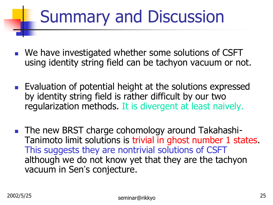# Summary and Discussion

- We have investigated whether some solutions of CSFT using identity string field can be tachyon vacuum or not.
- **Evaluation of potential height at the solutions expressed** by identity string field is rather difficult by our two regularization methods. It is divergent at least naively.
- **The new BRST charge cohomology around Takahashi-**Tanimoto limit solutions is trivial in ghost number 1 states. This suggests they are nontrivial solutions of CSFT although we do not know yet that they are the tachyon vacuum in Sen's conjecture.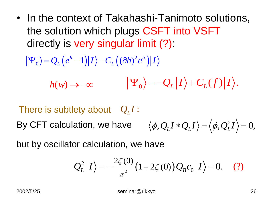• In the context of Takahashi-Tanimoto solutions, the solution which plugs CSFT into VSFT directly is very singular limit (?):

$$
|\Psi_0\rangle = Q_L (e^h - 1)|I\rangle - C_L ((\partial h)^2 e^h)|I\rangle
$$

$$
h(w) \to -\infty \qquad |\Psi_0\rangle = -Q_L|I\rangle + C_L(f)|I\rangle.
$$

2  $\langle \phi, \mathcal{Q}_L I * \mathcal{Q}_L I \rangle = \langle \phi, \mathcal{Q}_L^2 I \rangle = 0,$ There is subtlety about  $Q_L I$ : By CFT calculation, we have

but by oscillator calculation, we have

or calculation, we have  

$$
Q_L^2 |I\rangle = -\frac{2\zeta(0)}{\pi^2} (1 + 2\zeta(0)) Q_B c_0 |I\rangle = 0.
$$
 (?)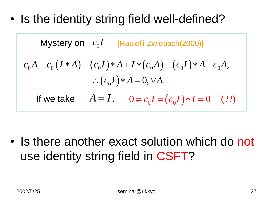• Is the identity string field well-defined?

Mystery on 
$$
c_0I
$$
 [Rastelli-Zwiebach(2000)]

\n
$$
c_0A = c_0(I*A) = (c_0I)*A + I*(c_0A) = (c_0I)*A + c_0A,
$$
\n
$$
\therefore (c_0I)*A = 0, \forall A.
$$
\nIf we take  $A = I$ ,  $0 \neq c_0I = (c_0I)*I = 0$  (??)

• Is there another exact solution which do not use identity string field in CSFT?